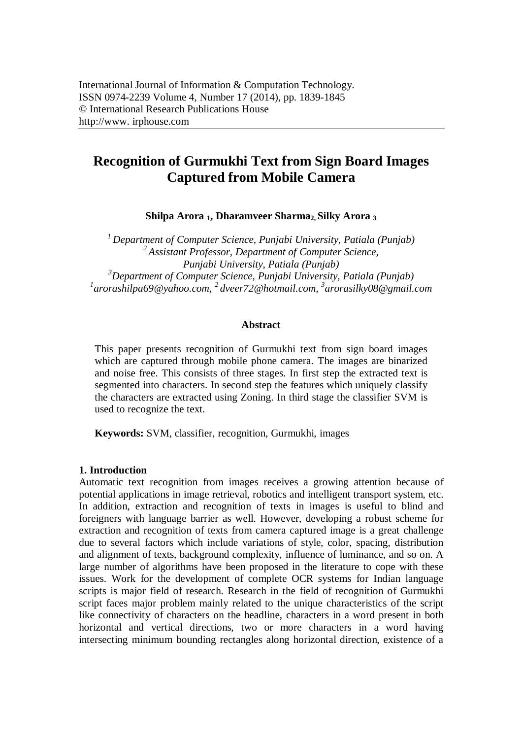# **Recognition of Gurmukhi Text from Sign Board Images Captured from Mobile Camera**

**Shilpa Arora <sup>1</sup>, Dharamveer Sharma2, Silky Arora <sup>3</sup>**

*Department of Computer Science, Punjabi University, Patiala (Punjab) Assistant Professor, Department of Computer Science, Punjabi University, Patiala (Punjab) Department of Computer Science, Punjabi University, Patiala (Punjab) arorashilpa69@yahoo.com, 2 dveer72@hotmail.com, 3 arorasilky08@gmail.com*

#### **Abstract**

This paper presents recognition of Gurmukhi text from sign board images which are captured through mobile phone camera. The images are binarized and noise free. This consists of three stages. In first step the extracted text is segmented into characters. In second step the features which uniquely classify the characters are extracted using Zoning. In third stage the classifier SVM is used to recognize the text.

**Keywords:** SVM, classifier, recognition, Gurmukhi, images

#### **1. Introduction**

Automatic text recognition from images receives a growing attention because of potential applications in image retrieval, robotics and intelligent transport system, etc. In addition, extraction and recognition of texts in images is useful to blind and foreigners with language barrier as well. However, developing a robust scheme for extraction and recognition of texts from camera captured image is a great challenge due to several factors which include variations of style, color, spacing, distribution and alignment of texts, background complexity, influence of luminance, and so on. A large number of algorithms have been proposed in the literature to cope with these issues. Work for the development of complete OCR systems for Indian language scripts is major field of research. Research in the field of recognition of Gurmukhi script faces major problem mainly related to the unique characteristics of the script like connectivity of characters on the headline, characters in a word present in both horizontal and vertical directions, two or more characters in a word having intersecting minimum bounding rectangles along horizontal direction, existence of a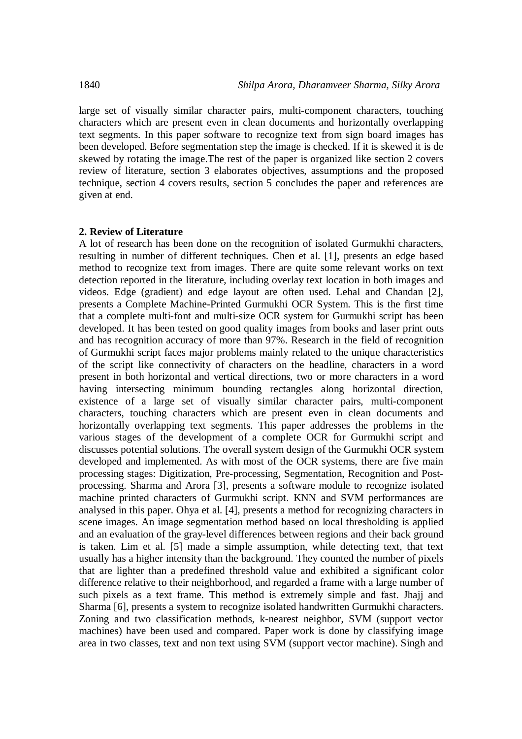large set of visually similar character pairs, multi-component characters, touching characters which are present even in clean documents and horizontally overlapping text segments. In this paper software to recognize text from sign board images has been developed. Before segmentation step the image is checked. If it is skewed it is de skewed by rotating the image.The rest of the paper is organized like section 2 covers review of literature, section 3 elaborates objectives, assumptions and the proposed technique, section 4 covers results, section 5 concludes the paper and references are given at end.

#### **2. Review of Literature**

A lot of research has been done on the recognition of isolated Gurmukhi characters, resulting in number of different techniques. Chen et al. [1], presents an edge based method to recognize text from images. There are quite some relevant works on text detection reported in the literature, including overlay text location in both images and videos. Edge (gradient) and edge layout are often used. Lehal and Chandan [2], presents a Complete Machine-Printed Gurmukhi OCR System. This is the first time that a complete multi-font and multi-size OCR system for Gurmukhi script has been developed. It has been tested on good quality images from books and laser print outs and has recognition accuracy of more than 97%. Research in the field of recognition of Gurmukhi script faces major problems mainly related to the unique characteristics of the script like connectivity of characters on the headline, characters in a word present in both horizontal and vertical directions, two or more characters in a word having intersecting minimum bounding rectangles along horizontal direction, existence of a large set of visually similar character pairs, multi-component characters, touching characters which are present even in clean documents and horizontally overlapping text segments. This paper addresses the problems in the various stages of the development of a complete OCR for Gurmukhi script and discusses potential solutions. The overall system design of the Gurmukhi OCR system developed and implemented. As with most of the OCR systems, there are five main processing stages: Digitization, Pre-processing, Segmentation, Recognition and Postprocessing. Sharma and Arora [3], presents a software module to recognize isolated machine printed characters of Gurmukhi script. KNN and SVM performances are analysed in this paper. Ohya et al. [4], presents a method for recognizing characters in scene images. An image segmentation method based on local thresholding is applied and an evaluation of the gray-level differences between regions and their back ground is taken. Lim et al. [5] made a simple assumption, while detecting text, that text usually has a higher intensity than the background. They counted the number of pixels that are lighter than a predefined threshold value and exhibited a significant color difference relative to their neighborhood, and regarded a frame with a large number of such pixels as a text frame. This method is extremely simple and fast. Jhajj and Sharma [6], presents a system to recognize isolated handwritten Gurmukhi characters. Zoning and two classification methods, k-nearest neighbor, SVM (support vector machines) have been used and compared. Paper work is done by classifying image area in two classes, text and non text using SVM (support vector machine). Singh and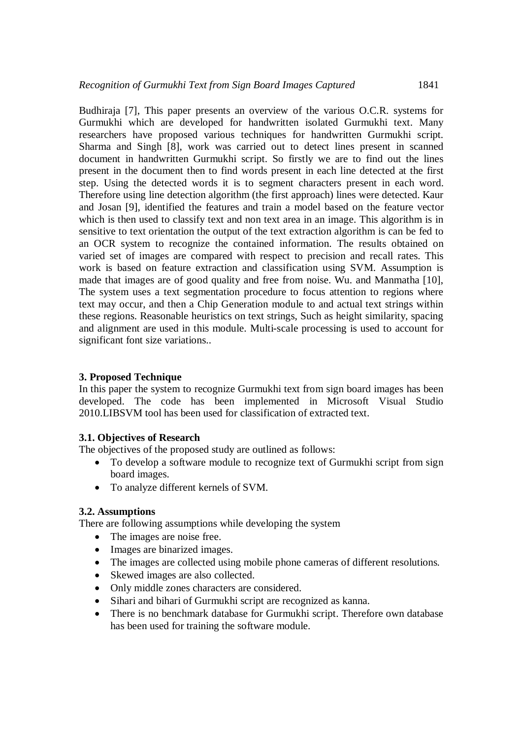Budhiraja [7], This paper presents an overview of the various O.C.R. systems for Gurmukhi which are developed for handwritten isolated Gurmukhi text. Many researchers have proposed various techniques for handwritten Gurmukhi script. Sharma and Singh [8], work was carried out to detect lines present in scanned document in handwritten Gurmukhi script. So firstly we are to find out the lines present in the document then to find words present in each line detected at the first step. Using the detected words it is to segment characters present in each word. Therefore using line detection algorithm (the first approach) lines were detected. Kaur and Josan [9], identified the features and train a model based on the feature vector which is then used to classify text and non text area in an image. This algorithm is in sensitive to text orientation the output of the text extraction algorithm is can be fed to an OCR system to recognize the contained information. The results obtained on varied set of images are compared with respect to precision and recall rates. This work is based on feature extraction and classification using SVM. Assumption is made that images are of good quality and free from noise. Wu. and Manmatha [10], The system uses a text segmentation procedure to focus attention to regions where text may occur, and then a Chip Generation module to and actual text strings within these regions. Reasonable heuristics on text strings, Such as height similarity, spacing and alignment are used in this module. Multi-scale processing is used to account for significant font size variations..

### **3. Proposed Technique**

In this paper the system to recognize Gurmukhi text from sign board images has been developed. The code has been implemented in Microsoft Visual Studio 2010.LIBSVM tool has been used for classification of extracted text.

### **3.1. Objectives of Research**

The objectives of the proposed study are outlined as follows:

- To develop a software module to recognize text of Gurmukhi script from sign board images.
- To analyze different kernels of SVM.

### **3.2. Assumptions**

There are following assumptions while developing the system

- The images are noise free.
- Images are binarized images.
- The images are collected using mobile phone cameras of different resolutions.
- Skewed images are also collected.
- Only middle zones characters are considered.
- Sihari and bihari of Gurmukhi script are recognized as kanna.
- There is no benchmark database for Gurmukhi script. Therefore own database has been used for training the software module.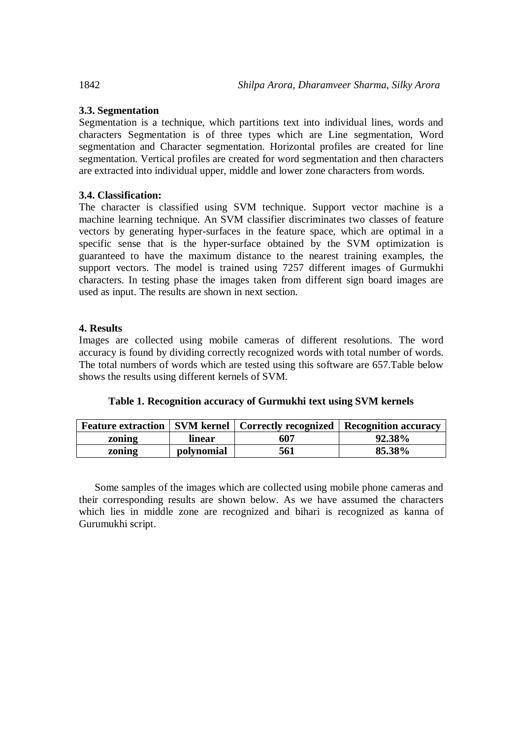## **3.3. Segmentation**

Segmentation is a technique, which partitions text into individual lines, words and characters Segmentation is of three types which are Line segmentation, Word segmentation and Character segmentation. Horizontal profiles are created for line segmentation. Vertical profiles are created for word segmentation and then characters are extracted into individual upper, middle and lower zone characters from words.

# **3.4. Classification:**

The character is classified using SVM technique. Support vector machine is a machine learning technique. An SVM classifier discriminates two classes of feature vectors by generating hyper-surfaces in the feature space, which are optimal in a specific sense that is the hyper-surface obtained by the SVM optimization is guaranteed to have the maximum distance to the nearest training examples, the support vectors. The model is trained using 7257 different images of Gurmukhi characters. In testing phase the images taken from different sign board images are used as input. The results are shown in next section.

### **4. Results**

Images are collected using mobile cameras of different resolutions. The word accuracy is found by dividing correctly recognized words with total number of words. The total numbers of words which are tested using this software are 657.Table below shows the results using different kernels of SVM.

|        |            | <b>Feature extraction   SVM kernel   Correctly recognized   Recognition accuracy</b> |        |
|--------|------------|--------------------------------------------------------------------------------------|--------|
| zoning | linear     | 607                                                                                  | 92.38% |
| zoning | polynomial | 561                                                                                  | 85.38% |

Some samples of the images which are collected using mobile phone cameras and their corresponding results are shown below. As we have assumed the characters which lies in middle zone are recognized and bihari is recognized as kanna of Gurumukhi script.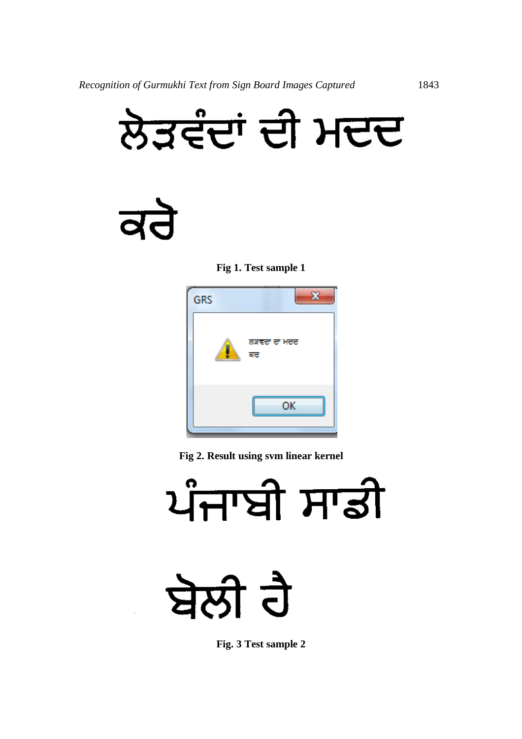

 $\overline{\mathbf{d}}$ 





**Fig 2. Result using svm linear kernel**



**Fig. 3 Test sample 2**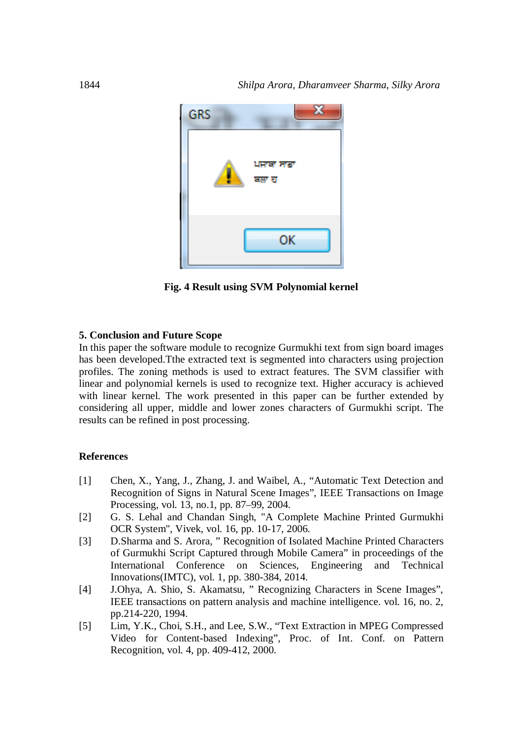

**Fig. 4 Result using SVM Polynomial kernel**

#### **5. Conclusion and Future Scope**

In this paper the software module to recognize Gurmukhi text from sign board images has been developed.Tthe extracted text is segmented into characters using projection profiles. The zoning methods is used to extract features. The SVM classifier with linear and polynomial kernels is used to recognize text. Higher accuracy is achieved with linear kernel. The work presented in this paper can be further extended by considering all upper, middle and lower zones characters of Gurmukhi script. The results can be refined in post processing.

#### **References**

- [1] Chen, X., Yang, J., Zhang, J. and Waibel, A., "Automatic Text Detection and Recognition of Signs in Natural Scene Images", IEEE Transactions on Image Processing, vol. 13, no.1, pp. 87–99, 2004.
- [2] G. S. Lehal and Chandan Singh, "A Complete Machine Printed Gurmukhi OCR System", Vivek, vol. 16, pp. 10-17, 2006.
- [3] D.Sharma and S. Arora, " Recognition of Isolated Machine Printed Characters of Gurmukhi Script Captured through Mobile Camera" in proceedings of the International Conference on Sciences, Engineering and Technical International Conference on Sciences, Engineering and Technical Innovations(IMTC), vol. 1, pp. 380-384, 2014.
- [4] J.Ohya, A. Shio, S. Akamatsu, " Recognizing Characters in Scene Images", IEEE transactions on pattern analysis and machine intelligence. vol. 16, no. 2, pp.214-220, 1994.
- [5] Lim, Y.K., Choi, S.H., and Lee, S.W., "Text Extraction in MPEG Compressed Video for Content-based Indexing", Proc. of Int. Conf. on Pattern Recognition, vol. 4, pp. 409-412, 2000.